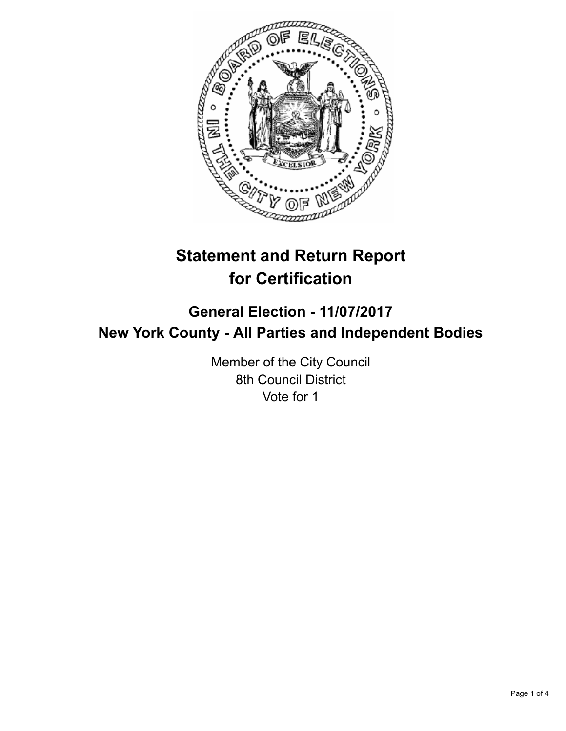

## **Statement and Return Report for Certification**

## **General Election - 11/07/2017 New York County - All Parties and Independent Bodies**

Member of the City Council 8th Council District Vote for 1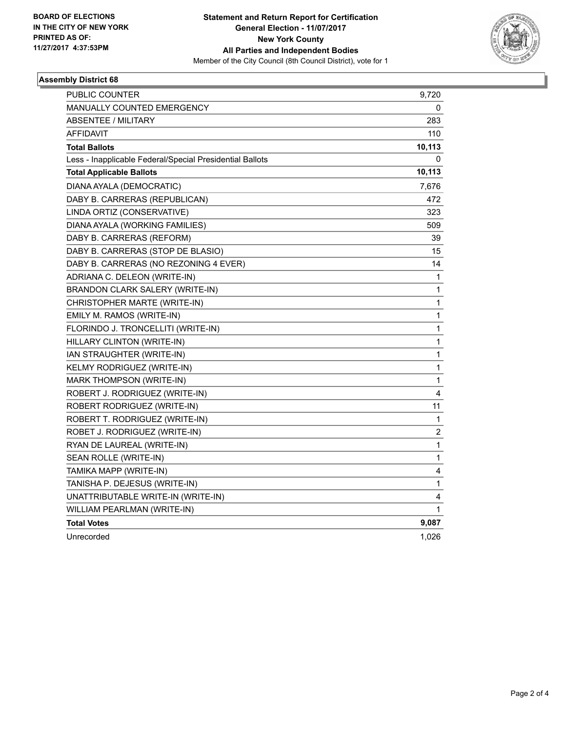

## **Assembly District 68**

| <b>PUBLIC COUNTER</b>                                    | 9,720  |
|----------------------------------------------------------|--------|
| <b>MANUALLY COUNTED EMERGENCY</b>                        | 0      |
| <b>ABSENTEE / MILITARY</b>                               | 283    |
| AFFIDAVIT                                                | 110    |
| <b>Total Ballots</b>                                     | 10,113 |
| Less - Inapplicable Federal/Special Presidential Ballots | 0      |
| <b>Total Applicable Ballots</b>                          | 10,113 |
| DIANA AYALA (DEMOCRATIC)                                 | 7,676  |
| DABY B. CARRERAS (REPUBLICAN)                            | 472    |
| LINDA ORTIZ (CONSERVATIVE)                               | 323    |
| DIANA AYALA (WORKING FAMILIES)                           | 509    |
| DABY B. CARRERAS (REFORM)                                | 39     |
| DABY B. CARRERAS (STOP DE BLASIO)                        | 15     |
| DABY B. CARRERAS (NO REZONING 4 EVER)                    | 14     |
| ADRIANA C. DELEON (WRITE-IN)                             | 1      |
| BRANDON CLARK SALERY (WRITE-IN)                          | 1      |
| CHRISTOPHER MARTE (WRITE-IN)                             | 1      |
| EMILY M. RAMOS (WRITE-IN)                                | 1      |
| FLORINDO J. TRONCELLITI (WRITE-IN)                       | 1      |
| HILLARY CLINTON (WRITE-IN)                               | 1      |
| IAN STRAUGHTER (WRITE-IN)                                | 1      |
| KELMY RODRIGUEZ (WRITE-IN)                               | 1      |
| MARK THOMPSON (WRITE-IN)                                 | 1      |
| ROBERT J. RODRIGUEZ (WRITE-IN)                           | 4      |
| ROBERT RODRIGUEZ (WRITE-IN)                              | 11     |
| ROBERT T. RODRIGUEZ (WRITE-IN)                           | 1      |
| ROBET J. RODRIGUEZ (WRITE-IN)                            | 2      |
| RYAN DE LAUREAL (WRITE-IN)                               | 1      |
| SEAN ROLLE (WRITE-IN)                                    | 1      |
| TAMIKA MAPP (WRITE-IN)                                   | 4      |
| TANISHA P. DEJESUS (WRITE-IN)                            | 1      |
| UNATTRIBUTABLE WRITE-IN (WRITE-IN)                       | 4      |
| WILLIAM PEARLMAN (WRITE-IN)                              | 1      |
| <b>Total Votes</b>                                       | 9,087  |
| Unrecorded                                               | 1,026  |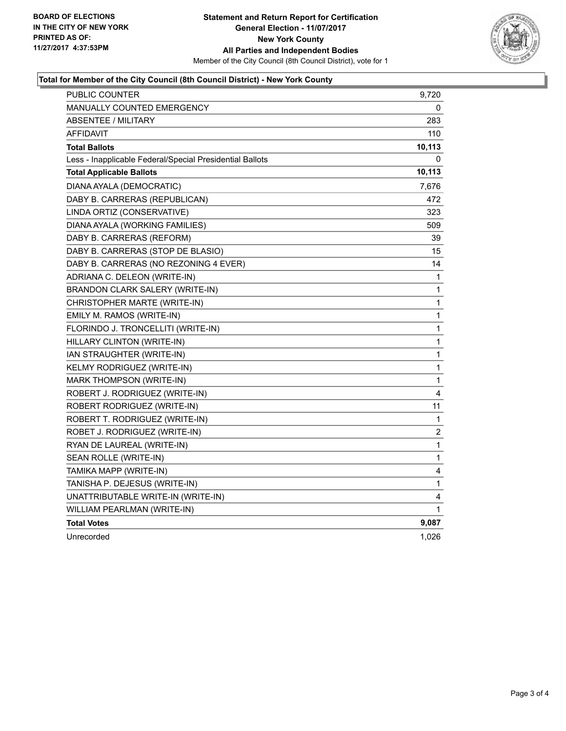

## **Total for Member of the City Council (8th Council District) - New York County**

| <b>PUBLIC COUNTER</b>                                    | 9,720  |
|----------------------------------------------------------|--------|
| <b>MANUALLY COUNTED EMERGENCY</b>                        | 0      |
| <b>ABSENTEE / MILITARY</b>                               | 283    |
| AFFIDAVIT                                                | 110    |
| <b>Total Ballots</b>                                     | 10,113 |
| Less - Inapplicable Federal/Special Presidential Ballots | 0      |
| <b>Total Applicable Ballots</b>                          | 10,113 |
| DIANA AYALA (DEMOCRATIC)                                 | 7,676  |
| DABY B. CARRERAS (REPUBLICAN)                            | 472    |
| LINDA ORTIZ (CONSERVATIVE)                               | 323    |
| DIANA AYALA (WORKING FAMILIES)                           | 509    |
| DABY B. CARRERAS (REFORM)                                | 39     |
| DABY B. CARRERAS (STOP DE BLASIO)                        | 15     |
| DABY B. CARRERAS (NO REZONING 4 EVER)                    | 14     |
| ADRIANA C. DELEON (WRITE-IN)                             | 1      |
| BRANDON CLARK SALERY (WRITE-IN)                          | 1      |
| CHRISTOPHER MARTE (WRITE-IN)                             | 1      |
| EMILY M. RAMOS (WRITE-IN)                                | 1      |
| FLORINDO J. TRONCELLITI (WRITE-IN)                       | 1      |
| HILLARY CLINTON (WRITE-IN)                               | 1      |
| IAN STRAUGHTER (WRITE-IN)                                | 1      |
| KELMY RODRIGUEZ (WRITE-IN)                               | 1      |
| MARK THOMPSON (WRITE-IN)                                 | 1      |
| ROBERT J. RODRIGUEZ (WRITE-IN)                           | 4      |
| ROBERT RODRIGUEZ (WRITE-IN)                              | 11     |
| ROBERT T. RODRIGUEZ (WRITE-IN)                           | 1      |
| ROBET J. RODRIGUEZ (WRITE-IN)                            | 2      |
| RYAN DE LAUREAL (WRITE-IN)                               | 1      |
| SEAN ROLLE (WRITE-IN)                                    | 1      |
| TAMIKA MAPP (WRITE-IN)                                   | 4      |
| TANISHA P. DEJESUS (WRITE-IN)                            | 1      |
| UNATTRIBUTABLE WRITE-IN (WRITE-IN)                       | 4      |
| WILLIAM PEARLMAN (WRITE-IN)                              | 1      |
| <b>Total Votes</b>                                       | 9,087  |
| Unrecorded                                               | 1,026  |